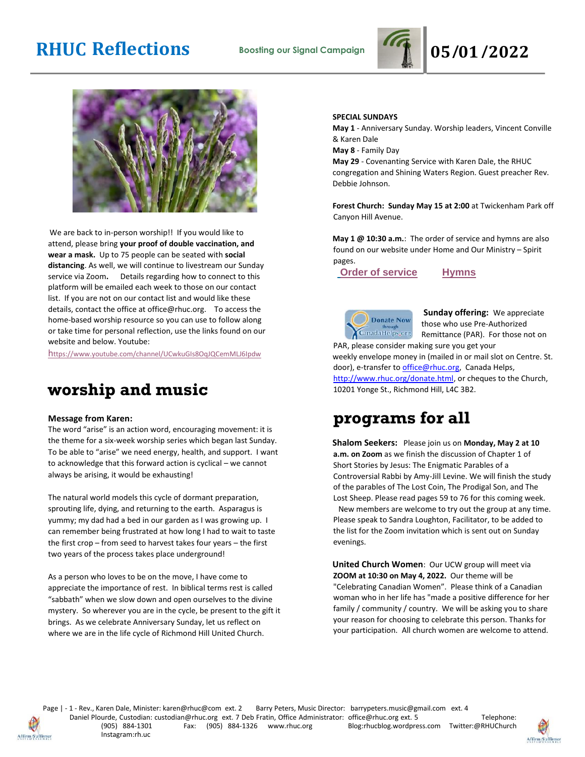



We are back to in-person worship!! If you would like to attend, please bring **your proof of double vaccination, and wear a mask.** Up to 75 people can be seated with **social distancing**. As well, we will continue to livestream our Sunday service via Zoom**.** Details regarding how to connect to this platform will be emailed each week to those on our contact list. If you are not on our contact list and would like these details, contact the office at office@rhuc.org. To access the home-based worship resource so you can use to follow along or take time for personal reflection, use the links found on our website and below. Youtube:

[h](https://www.youtube.com/channel/UCwkuGIs8OqJQCemMLJ6Ipdw)[ttps://www.youtube.com/channel/UCwkuGIs8OqJQCemMLJ6Ipdw](https://www.youtube.com/channel/UCwkuGIs8OqJQCemMLJ6Ipdw)

## **worship and music**

#### **Message from Karen:**

The word "arise" is an action word, encouraging movement: it is the theme for a six-week worship series which began last Sunday. To be able to "arise" we need energy, health, and support. I want to acknowledge that this forward action is cyclical – we cannot always be arising, it would be exhausting!

The natural world models this cycle of dormant preparation, sprouting life, dying, and returning to the earth. Asparagus is yummy; my dad had a bed in our garden as I was growing up. I can remember being frustrated at how long I had to wait to taste the first crop – from seed to harvest takes four years – the first two years of the process takes place underground!

As a person who loves to be on the move, I have come to appreciate the importance of rest. In biblical terms rest is called "sabbath" when we slow down and open ourselves to the divine mystery. So wherever you are in the cycle, be present to the gift it brings. As we celebrate Anniversary Sunday, let us reflect on where we are in the life cycle of Richmond Hill United Church.

#### **SPECIAL SUNDAYS**

**May 1** - Anniversary Sunday. Worship leaders, Vincent Conville & Karen Dale

**May 8** - Family Day

**May 29** - Covenanting Service with Karen Dale, the RHUC congregation and Shining Waters Region. Guest preacher Rev. Debbie Johnson.

**Forest Church: Sunday May 15 at 2:00** at Twickenham Park off Canyon Hill Avenue.

**May 1 @ 10:30 a.m.**: The order of service and hymns are also found on our website under Home and Our Ministry – Spirit pages.

**[O](http://rhuc.org/April%2024%20OofS.pdf)rder of [service](http://rhuc.org/May%201%20OofS%20(2)%20(1).pdf) [Hymns](http://rhuc.org/Hymns%20for%202022%2005%2001%20(1).pdf)**

**Donate Now** CanadaHelps.org

**Sunday offering:** We appreciate those who use Pre-Authorized Remittance (PAR). For those not on

PAR, please consider making sure you get your weekly envelope money in (mailed in or mail slot on Centre. St. door), e-transfer to office@rhuc.org, Canada Helps, [http://www.rhuc.org/donate.html,](http://www.rhuc.org/donate.html) or cheques to the Church, 10201 Yonge St., Richmond Hill, L4C 3B2.

## **programs for all**

**Shalom Seekers:** Please join us on **Monday, May 2 at 10 a.m. on Zoom** as we finish the discussion of Chapter 1 of Short Stories by Jesus: The Enigmatic Parables of a Controversial Rabbi by Amy-Jill Levine. We will finish the study of the parables of The Lost Coin, The Prodigal Son, and The Lost Sheep. Please read pages 59 to 76 for this coming week. New members are welcome to try out the group at any time. Please speak to Sandra Loughton, Facilitator, to be added to the list for the Zoom invitation which is sent out on Sunday evenings.

**United Church Women**: Our UCW group will meet via **ZOOM at 10:30 on May 4, 2022.** Our theme will be "Celebrating Canadian Women". Please think of a Canadian woman who in her life has "made a positive difference for her family / community / country. We will be asking you to share your reason for choosing to celebrate this person. Thanks for your participation. All church women are welcome to attend.



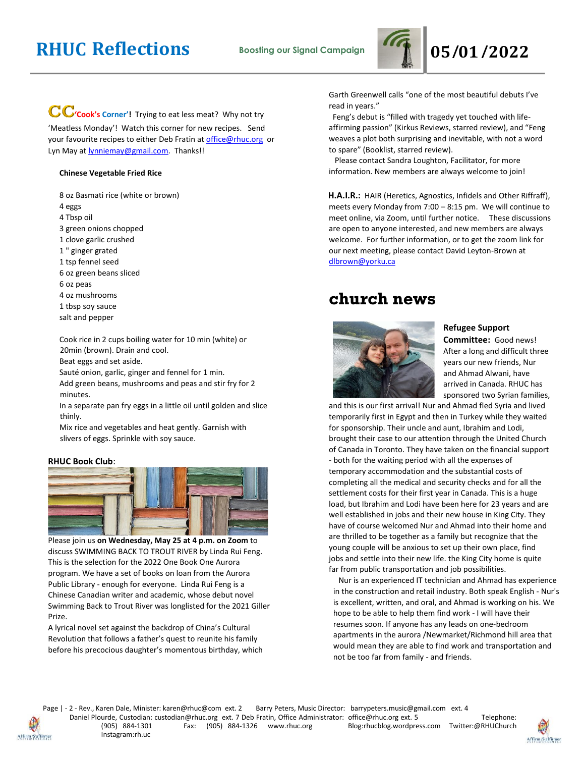

### **CC**'cook's Corner'! Trying to eat less meat? Why not try

'Meatless Monday'! Watch this corner for new recipes. Send your favourite recipes to either Deb Fratin at [office@rhuc.org](mailto:office@rhuc.org) or Lyn May at **lynniemay@gmail.com**. Thanks!!

#### **Chinese Vegetable Fried Rice**

8 oz Basmati rice (white or brown)

- 4 eggs
- 4 Tbsp oil
- 3 green onions chopped
- 1 clove garlic crushed
- 1 " ginger grated
- 1 tsp fennel seed
- 6 oz green beans sliced
- 6 oz peas
- 4 oz mushrooms
- 1 tbsp soy sauce
- salt and pepper

Cook rice in 2 cups boiling water for 10 min (white) or 20min (brown). Drain and cool.

Beat eggs and set aside.

Sauté onion, garlic, ginger and fennel for 1 min.

Add green beans, mushrooms and peas and stir fry for 2 minutes.

In a separate pan fry eggs in a little oil until golden and slice thinly.

Mix rice and vegetables and heat gently. Garnish with slivers of eggs. Sprinkle with soy sauce.

#### **RHUC Book Club**:



Please join us **on Wednesday, May 25 at 4 p.m. on Zoom** to discuss SWIMMING BACK TO TROUT RIVER by Linda Rui Feng. This is the selection for the 2022 One Book One Aurora program. We have a set of books on loan from the Aurora Public Library - enough for everyone. Linda Rui Feng is a Chinese Canadian writer and academic, whose debut novel Swimming Back to Trout River was longlisted for the 2021 Giller Prize.

A lyrical novel set against the backdrop of China's Cultural Revolution that follows a father's quest to reunite his family before his precocious daughter's momentous birthday, which Garth Greenwell calls "one of the most beautiful debuts I've read in years."

 Feng's debut is "filled with tragedy yet touched with lifeaffirming passion" (Kirkus Reviews, starred review), and "Feng weaves a plot both surprising and inevitable, with not a word to spare" (Booklist, starred review).

 Please contact Sandra Loughton, Facilitator, for more information. New members are always welcome to join!

**H.A.I.R.:** HAIR (Heretics, Agnostics, Infidels and Other Riffraff), meets every Monday from 7:00 – 8:15 pm. We will continue to meet online, via Zoom, until further notice.These discussions are open to anyone interested, and new members are always welcome. For further information, or to get the zoom link for our next meeting, please contact David Leyton-Brown at dlbrown@yorku.ca

## **church news**



#### **Refugee Support**

**Committee:** Good news! After a long and difficult three years our new friends, Nur and Ahmad Alwani, have arrived in Canada. RHUC has sponsored two Syrian families,

and this is our first arrival! Nur and Ahmad fled Syria and lived temporarily first in Egypt and then in Turkey while they waited for sponsorship. Their uncle and aunt, Ibrahim and Lodi, brought their case to our attention through the United Church of Canada in Toronto. They have taken on the financial support - both for the waiting period with all the expenses of temporary accommodation and the substantial costs of completing all the medical and security checks and for all the settlement costs for their first year in Canada. This is a huge load, but Ibrahim and Lodi have been here for 23 years and are well established in jobs and their new house in King City. They have of course welcomed Nur and Ahmad into their home and are thrilled to be together as a family but recognize that the young couple will be anxious to set up their own place, find jobs and settle into their new life. the King City home is quite far from public transportation and job possibilities.

 Nur is an experienced IT technician and Ahmad has experience in the construction and retail industry. Both speak English - Nur's is excellent, written, and oral, and Ahmad is working on his. We hope to be able to help them find work - I will have their resumes soon. If anyone has any leads on one-bedroom apartments in the aurora /Newmarket/Richmond hill area that would mean they are able to find work and transportation and not be too far from family - and friends.



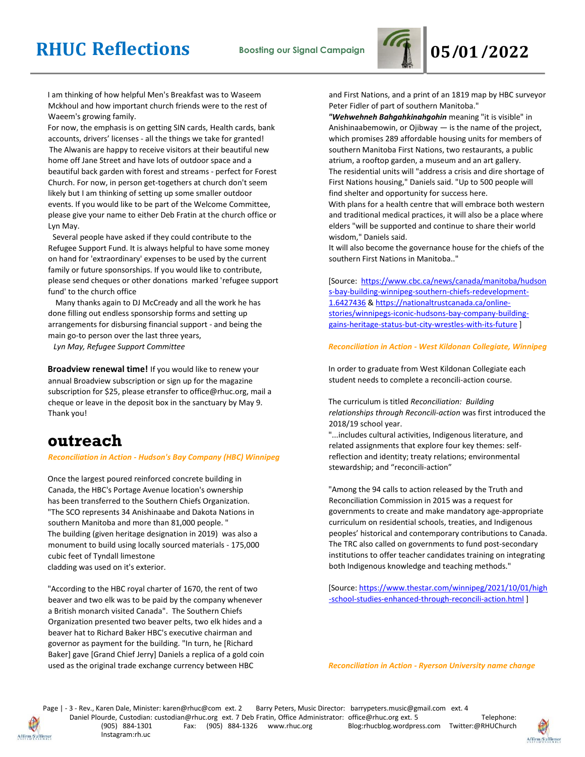

I am thinking of how helpful Men's Breakfast was to Waseem Mckhoul and how important church friends were to the rest of Waeem's growing family.

For now, the emphasis is on getting SIN cards, Health cards, bank accounts, drivers' licenses - all the things we take for granted! The Alwanis are happy to receive visitors at their beautiful new home off Jane Street and have lots of outdoor space and a beautiful back garden with forest and streams - perfect for Forest Church. For now, in person get-togethers at church don't seem likely but I am thinking of setting up some smaller outdoor events. If you would like to be part of the Welcome Committee, please give your name to either Deb Fratin at the church office or Lyn May.

Several people have asked if they could contribute to the Refugee Support Fund. It is always helpful to have some money on hand for 'extraordinary' expenses to be used by the current family or future sponsorships. If you would like to contribute, please send cheques or other donations marked 'refugee support fund' to the church office

 Many thanks again to DJ McCready and all the work he has done filling out endless sponsorship forms and setting up arrangements for disbursing financial support - and being the main go-to person over the last three years,

 *Lyn May, Refugee Support Committee*

**Broadview renewal time!** If you would like to renew your annual Broadview subscription or sign up for the magazine subscription for \$25, please etransfer to office@rhuc.org, mail a cheque or leave in the deposit box in the sanctuary by May 9. Thank you!

## **outreach**

#### *Reconciliation in Action - Hudson's Bay Company (HBC) Winnipeg*

Once the largest poured reinforced concrete building in Canada, the HBC's Portage Avenue location's ownership has been transferred to the Southern Chiefs Organization. "The SCO represents 34 Anishinaabe and Dakota Nations in southern Manitoba and more than 81,000 people. " The building (given heritage designation in 2019) was also a monument to build using locally sourced materials - 175,000 cubic feet of Tyndall limestone cladding was used on it's exterior.

"According to the HBC royal charter of 1670, the rent of two beaver and two elk was to be paid by the company whenever a British monarch visited Canada". The Southern Chiefs Organization presented two beaver pelts, two elk hides and a beaver hat to Richard Baker HBC's executive chairman and governor as payment for the building. "In turn, he [Richard Baker] gave [Grand Chief Jerry] Daniels a replica of a gold coin used as the original trade exchange currency between HBC

and First Nations, and a print of an 1819 map by HBC surveyor Peter Fidler of part of southern Manitoba."

*"Wehwehneh Bahgahkinahgohin* meaning "it is visible" in Anishinaabemowin, or Ojibway  $-$  is the name of the project, which promises 289 affordable housing units for members of southern Manitoba First Nations, two restaurants, a public atrium, a rooftop garden, a museum and an art gallery. The residential units will "address a crisis and dire shortage of First Nations housing," Daniels said. "Up to 500 people will find shelter and opportunity for success here. With plans for a health centre that will embrace both western

and traditional medical practices, it will also be a place where elders "will be supported and continue to share their world wisdom," Daniels said.

It will also become the governance house for the chiefs of the southern First Nations in Manitoba.."

[Source: [https://www.cbc.ca/news/canada/manitoba/hudson](https://www.cbc.ca/news/canada/manitoba/hudsons-bay-building-winnipeg-southern-chiefs-redevelopment-1.6427436) [s-bay-building-winnipeg-southern-chiefs-redevelopment-](https://www.cbc.ca/news/canada/manitoba/hudsons-bay-building-winnipeg-southern-chiefs-redevelopment-1.6427436)[1.6427436](https://www.cbc.ca/news/canada/manitoba/hudsons-bay-building-winnipeg-southern-chiefs-redevelopment-1.6427436) & [https://nationaltrustcanada.ca/online](https://nationaltrustcanada.ca/online-stories/winnipegs-iconic-hudsons-bay-company-building-gains-heritage-status-but-city-wrestles-with-its-future)[stories/winnipegs-iconic-hudsons-bay-company-building](https://nationaltrustcanada.ca/online-stories/winnipegs-iconic-hudsons-bay-company-building-gains-heritage-status-but-city-wrestles-with-its-future)[gains-heritage-status-but-city-wrestles-with-its-future](https://nationaltrustcanada.ca/online-stories/winnipegs-iconic-hudsons-bay-company-building-gains-heritage-status-but-city-wrestles-with-its-future) ]

#### *Reconciliation in Action - West Kildonan Collegiate, Winnipeg*

In order to graduate from West Kildonan Collegiate each student needs to complete a reconcili-action course.

The curriculum is titled *Reconciliation: Building relationships through Reconcili-action* was first introduced the 2018/19 school year.

"...includes cultural activities, Indigenous literature, and related assignments that explore four key themes: selfreflection and identity; treaty relations; environmental stewardship; and "reconcili-action"

"Among the 94 calls to action released by the Truth and Reconciliation Commission in 2015 was a request for governments to create and make mandatory age-appropriate curriculum on residential schools, treaties, and Indigenous peoples' historical and contemporary contributions to Canada. The TRC also called on governments to fund post-secondary institutions to offer teacher candidates training on integrating both Indigenous knowledge and teaching methods."

[Source: [https://www.thestar.com/winnipeg/2021/10/01/high](https://www.thestar.com/winnipeg/2021/10/01/high-school-studies-enhanced-through-reconcili-action.html) [-school-studies-enhanced-through-reconcili-action.html](https://www.thestar.com/winnipeg/2021/10/01/high-school-studies-enhanced-through-reconcili-action.html) ]

*Reconciliation in Action - Ryerson University name change*



Page | - 3 - Rev., Karen Dale, Minister: karen@rhuc@com ext. 2 Barry Peters, Music Director: barrypeters.music@gmail.com ext. 4 Daniel Plourde, Custodian: custodian@rhuc.org ext. 7 Deb Fratin, Office Administrator: office@rhuc.org ext. 5 Telephone:<br>(905) 884-1326 www.rhuc.org Blog:rhucblog.wordpress.com Twitter:@RHUChurch Blog:rhucblog.wordpress.com Twitter:@RHUChurch Instagram:rh.uc